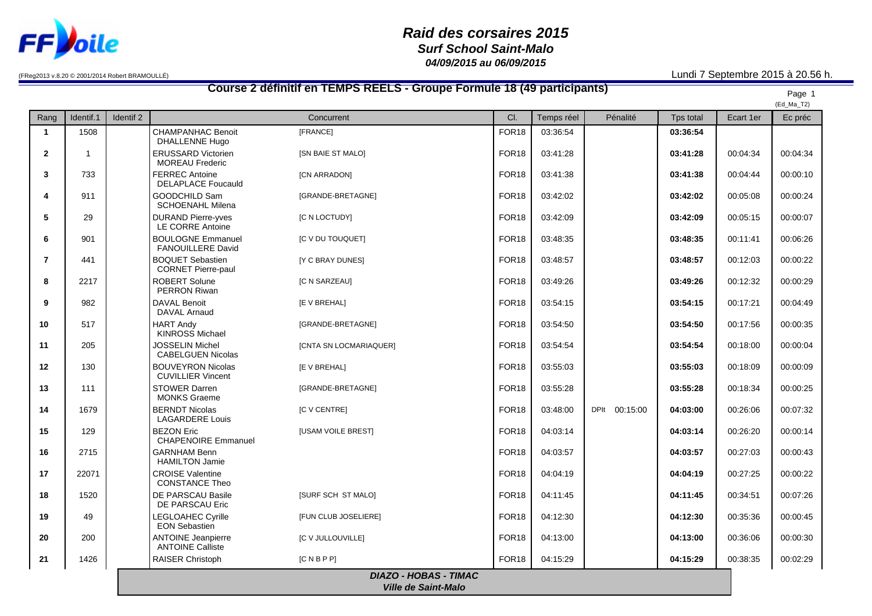

## *Raid des corsaires 2015 Surf School Saint-Malo 04/09/2015 au 06/09/2015*

(FReg2013 v.8.20 © 2001/2014 Robert BRAMOULLÉ) Lundi 7 Septembre 2015 à 20.56 h.

## **Course 2 définitif en TEMPS REELS - Groupe Formule 18 (49 participants)** Page 1 (Ed\_Ma\_T2) Rang | Identif.1 | Identif 2 | Concurrent Concurrent Concurrent Concurrent Cl. Temps réel Pénalité | Tps total | Ecart 1er | Ec préc **1** 1508 CHAMPANHAC Benoit DHALLENNE Hugo [FRANCE] FOR18 03:36:54 **03:36:54 2** 1 1 **ERUSSARD** Victorien MOREAU Frederic [SN BAIE ST MALO] FOR18 03:41:28 **03:41:28** 00:04:34 00:04:34 **3** 733 FERREC Antoine DELAPLACE Foucauld [CN ARRADON] FOR18 03:41:38 **03:41:38** 00:04:44 00:00:10 **4** 911 GOODCHILD Sam SCHOENAHL Milena [GRANDE-BRETAGNE] FOR18 03:42:02 **03:42:02** 00:05:08 00:00:24 **5** 29 DURAND Pierre-vves LE CORRE Antoine [C N LOCTUDY] FOR18 03:42:09 **03:42:09** 00:05:15 00:00:07 **6** 901 | BOULOGNE Emmanuel FANOUILLERE David [C V DU TOUQUET] FOR18 03:48:35 **03:48:35** 00:11:41 00:06:26 **7** 441 BOQUET Sebastien CORNET Pierre-paul [Y C BRAY DUNES] FOR18 03:48:57 **03:48:57** 00:12:03 00:00:22 **8** | 2217 | ROBERT Solune PERRON Riwan [C N SARZEAU] FOR18 03:49:26 **03:49:26** 00:12:32 00:00:29 **9** 982 DAVAL Benoit DAVAL Arnaud [E V BREHAL] FOR18 03:54:15 **03:54:15** 00:17:21 00:04:49 10 | 517 | HART Andy KINROSS Michael [GRANDE-BRETAGNE] FOR18 03:54:50 **03:54:50** 00:17:56 00:00:35 **11** 205 JOSSELIN Michel CABELGUEN Nicolas [CNTA SN LOCMARIAQUER] FOR18 03:54:54 **03:54:54** 00:18:00 00:00:04 **12** 130 BOUVEYRON Nicolas CUVILLIER Vincent [E V BREHAL] FOR18 03:55:03 **03:55:03** 00:18:09 00:00:09 13 111 STOWER Darren MONKS Graeme [GRANDE-BRETAGNE] FOR18 03:55:28 **03:55:28** 00:18:34 00:00:25 **14** | 1679 | BERNDT Nicolas LAGARDERE Louis [C V CENTRE] FOR18 03:48:00 DPIt 00:15:00 **04:03:00** 00:26:06 00:07:32 **15** 129 BEZON Eric CHAPENOIRE Emmanuel [USAM VOILE BREST] FOR18 04:03:14 **04:03:14** 00:26:20 00:00:14 **16** 2715 GARNHAM Benn HAMILTON Jamie FOR18 04:03:57 **04:03:57** 00:27:03 00:00:43 **17** 22071 CROISE Valentine CONSTANCE Theo FOR18 04:04:19 **04:04:19** 00:27:25 00:00:22 **18** 1520 DE PARSCAU Basile DE PARSCAU Eric [SURF SCH ST MALO] FOR18 04:11:45 **04:11:45** 00:34:51 00:07:26 **19** 49 LEGLOAHEC Cyrille EON Sebastien [FUN CLUB JOSELIERE] FOR18 04:12:30 **04:12:30** 00:35:36 00:00:45 **20** 200 ANTOINE Jeanpierre ANTOINE Calliste [C V JULLOUVILLE] FOR18 04:13:00 **04:13:00** 00:36:06 00:00:30 **21** 1426 RAISER Christoph [C N B P P] FOR18 04:15:29 **04:15:29** 00:38:35 00:02:29 *DIAZO - HOBAS - TIMAC*

*Ville de Saint-Malo*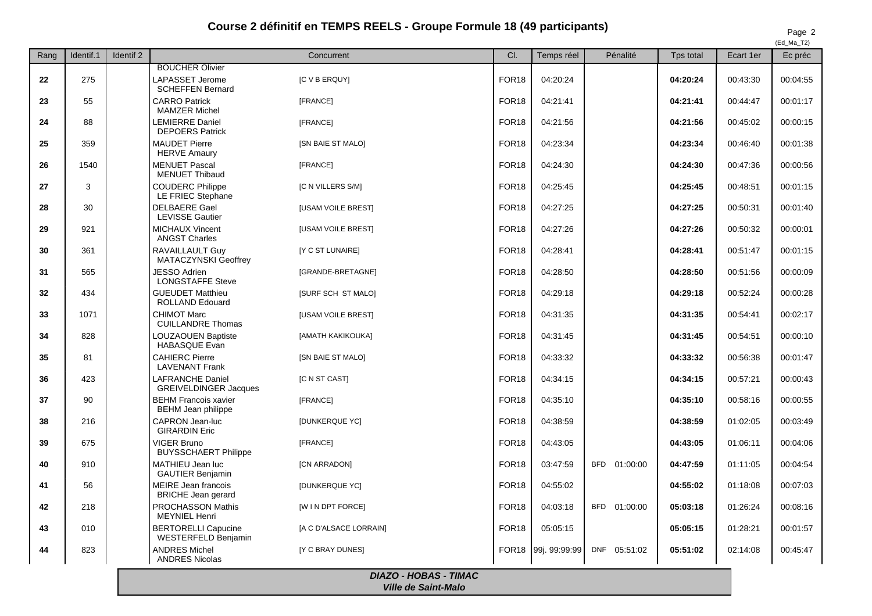## **Course 2 définitif en TEMPS REELS - Groupe Formule 18 (49 participants)** Page 2

 $(FAMA T2)$ 

| Rang | Identif.1 | Identif <sub>2</sub> |                                                          | Concurrent                | CI.               | Temps réel    | Pénalité               | Tps total | Ecart 1er | $cu$ ivid $L$<br>Ec préc |
|------|-----------|----------------------|----------------------------------------------------------|---------------------------|-------------------|---------------|------------------------|-----------|-----------|--------------------------|
|      |           |                      | <b>BOUCHER Olivier</b>                                   |                           |                   |               |                        |           |           |                          |
| 22   | 275       |                      | LAPASSET Jerome<br><b>SCHEFFEN Bernard</b>               | <b>IC V B ERQUYI</b>      | FOR <sub>18</sub> | 04:20:24      |                        | 04:20:24  | 00:43:30  | 00:04:55                 |
| 23   | 55        |                      | <b>CARRO Patrick</b><br><b>MAMZER Michel</b>             | [FRANCE]                  | FOR <sub>18</sub> | 04:21:41      |                        | 04:21:41  | 00:44:47  | 00:01:17                 |
| 24   | 88        |                      | LEMIERRE Daniel<br><b>DEPOERS Patrick</b>                | [FRANCE]                  | FOR <sub>18</sub> | 04:21:56      |                        | 04:21:56  | 00:45:02  | 00:00:15                 |
| 25   | 359       |                      | <b>MAUDET Pierre</b><br><b>HERVE Amaury</b>              | [SN BAIE ST MALO]         | FOR <sub>18</sub> | 04:23:34      |                        | 04:23:34  | 00:46:40  | 00:01:38                 |
| 26   | 1540      |                      | <b>MENUET Pascal</b><br><b>MENUET Thibaud</b>            | [FRANCE]                  | FOR <sub>18</sub> | 04:24:30      |                        | 04:24:30  | 00:47:36  | 00:00:56                 |
| 27   | 3         |                      | <b>COUDERC Philippe</b><br>LE FRIEC Stephane             | [C N VILLERS S/M]         | FOR <sub>18</sub> | 04:25:45      |                        | 04:25:45  | 00:48:51  | 00:01:15                 |
| 28   | 30        |                      | <b>DELBAERE Gael</b><br><b>LEVISSE Gautier</b>           | <b>IUSAM VOILE BRESTI</b> | FOR <sub>18</sub> | 04:27:25      |                        | 04:27:25  | 00:50:31  | 00:01:40                 |
| 29   | 921       |                      | MICHAUX Vincent<br><b>ANGST Charles</b>                  | <b>[USAM VOILE BREST]</b> | FOR <sub>18</sub> | 04:27:26      |                        | 04:27:26  | 00:50:32  | 00:00:01                 |
| 30   | 361       |                      | RAVAILLAULT Guy<br><b>MATACZYNSKI Geoffrey</b>           | [Y C ST LUNAIRE]          | FOR <sub>18</sub> | 04:28:41      |                        | 04:28:41  | 00:51:47  | 00:01:15                 |
| 31   | 565       |                      | <b>JESSO Adrien</b><br><b>LONGSTAFFE Steve</b>           | [GRANDE-BRETAGNE]         | FOR <sub>18</sub> | 04:28:50      |                        | 04:28:50  | 00:51:56  | 00:00:09                 |
| 32   | 434       |                      | <b>GUEUDET Matthieu</b><br><b>ROLLAND Edouard</b>        | [SURF SCH ST MALO]        | FOR <sub>18</sub> | 04:29:18      |                        | 04:29:18  | 00:52:24  | 00:00:28                 |
| 33   | 1071      |                      | <b>CHIMOT Marc</b><br><b>CUILLANDRE Thomas</b>           | <b>[USAM VOILE BREST]</b> | FOR <sub>18</sub> | 04:31:35      |                        | 04:31:35  | 00:54:41  | 00:02:17                 |
| 34   | 828       |                      | LOUZAOUEN Baptiste<br><b>HABASQUE Evan</b>               | [AMATH KAKIKOUKA]         | FOR <sub>18</sub> | 04:31:45      |                        | 04:31:45  | 00:54:51  | 00:00:10                 |
| 35   | 81        |                      | <b>CAHIERC Pierre</b><br><b>LAVENANT Frank</b>           | <b>[SN BAIE ST MALO]</b>  | FOR <sub>18</sub> | 04:33:32      |                        | 04:33:32  | 00:56:38  | 00:01:47                 |
| 36   | 423       |                      | LAFRANCHE Daniel<br><b>GREIVELDINGER Jacques</b>         | [C N ST CAST]             | FOR <sub>18</sub> | 04:34:15      |                        | 04:34:15  | 00:57:21  | 00:00:43                 |
| 37   | 90        |                      | <b>BEHM Francois xavier</b><br><b>BEHM Jean philippe</b> | [FRANCE]                  | FOR <sub>18</sub> | 04:35:10      |                        | 04:35:10  | 00:58:16  | 00:00:55                 |
| 38   | 216       |                      | <b>CAPRON Jean-luc</b><br><b>GIRARDIN Eric</b>           | [DUNKERQUE YC]            | FOR <sub>18</sub> | 04:38:59      |                        | 04:38:59  | 01:02:05  | 00:03:49                 |
| 39   | 675       |                      | <b>VIGER Bruno</b><br><b>BUYSSCHAERT Philippe</b>        | [FRANCE]                  | FOR <sub>18</sub> | 04:43:05      |                        | 04:43:05  | 01:06:11  | 00:04:06                 |
| 40   | 910       |                      | MATHIEU Jean luc<br><b>GAUTIER Benjamin</b>              | [CN ARRADON]              | FOR <sub>18</sub> | 03:47:59      | <b>BFD</b><br>01:00:00 | 04:47:59  | 01:11:05  | 00:04:54                 |
| 41   | 56        |                      | <b>MEIRE</b> Jean francois<br><b>BRICHE</b> Jean gerard  | <b>IDUNKERQUE YCI</b>     | FOR <sub>18</sub> | 04:55:02      |                        | 04:55:02  | 01:18:08  | 00:07:03                 |
| 42   | 218       |                      | PROCHASSON Mathis<br><b>MEYNIEL Henri</b>                | [W I N DPT FORCE]         | FOR <sub>18</sub> | 04:03:18      | <b>BFD</b><br>01:00:00 | 05:03:18  | 01:26:24  | 00:08:16                 |
| 43   | 010       |                      | <b>BERTORELLI Capucine</b><br><b>WESTERFELD Benjamin</b> | [A C D'ALSACE LORRAIN]    | FOR <sub>18</sub> | 05:05:15      |                        | 05:05:15  | 01:28:21  | 00:01:57                 |
| 44   | 823       |                      | <b>ANDRES Michel</b><br><b>ANDRES Nicolas</b>            | [Y C BRAY DUNES]          | FOR <sub>18</sub> | 99i. 99:99:99 | DNF 05:51:02           | 05:51:02  | 02:14:08  | 00:45:47                 |

*DIAZO - HOBAS - TIMAC Ville de Saint-Malo*